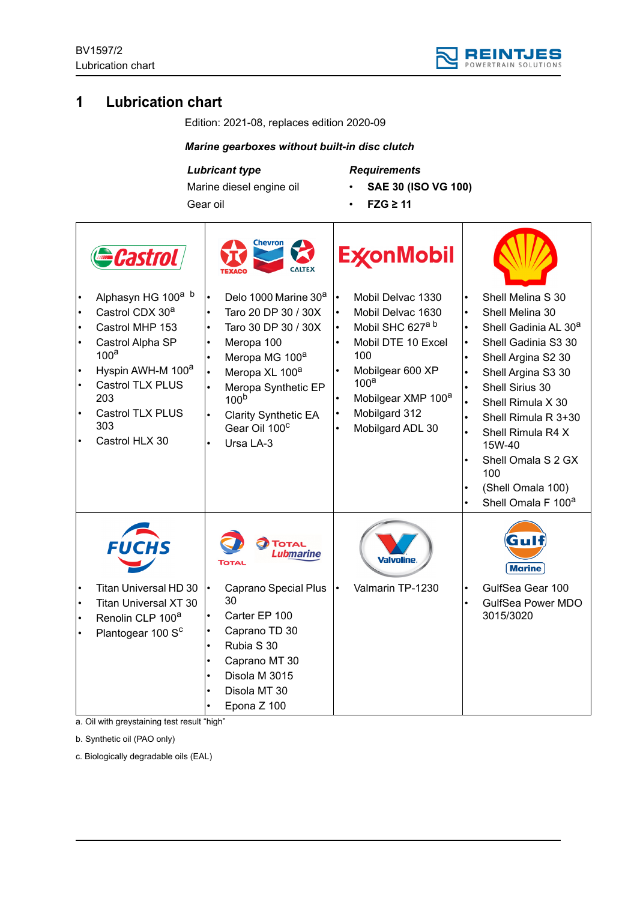

# **1 Lubrication chart**

Edition: 2021-08, replaces edition 2020-09

## *Marine gearboxes without built-in disc clutch*

*Lubricant type*

Gear oil

Marine diesel engine oil

*Requirements*

- **SAE 30 (ISO VG 100)**
	- **FZG ≥ 11**

|                                                                            | <b>Castrol</b>                                                                                                                                                                                                                                  |                                                                                         | Chevron<br><b>CALTEX</b>                                                                                                                                                                                                                                                     |                                                                                         | <b>ExconMobil</b>                                                                                                                                                                                                  |                                                                                         |                                                                                                                                                                                                                                                                                                                               |
|----------------------------------------------------------------------------|-------------------------------------------------------------------------------------------------------------------------------------------------------------------------------------------------------------------------------------------------|-----------------------------------------------------------------------------------------|------------------------------------------------------------------------------------------------------------------------------------------------------------------------------------------------------------------------------------------------------------------------------|-----------------------------------------------------------------------------------------|--------------------------------------------------------------------------------------------------------------------------------------------------------------------------------------------------------------------|-----------------------------------------------------------------------------------------|-------------------------------------------------------------------------------------------------------------------------------------------------------------------------------------------------------------------------------------------------------------------------------------------------------------------------------|
| $\bullet$<br>$\bullet$<br>$\bullet$<br>$\bullet$<br>$\bullet$<br>$\bullet$ | Alphasyn HG 100 <sup>a b</sup><br>Castrol CDX 30 <sup>a</sup><br>Castrol MHP 153<br>Castrol Alpha SP<br>100 <sup>a</sup><br>Hyspin AWH-M 100 <sup>a</sup><br><b>Castrol TLX PLUS</b><br>203<br><b>Castrol TLX PLUS</b><br>303<br>Castrol HLX 30 | $\bullet$<br>$\bullet$<br>$\bullet$<br>$\bullet$<br>$\bullet$<br>$\bullet$<br>$\bullet$ | Delo 1000 Marine 30 <sup>a</sup><br>Taro 20 DP 30 / 30X<br>Taro 30 DP 30 / 30X<br>Meropa 100<br>Meropa MG 100 <sup>a</sup><br>Meropa XL 100 <sup>a</sup><br>Meropa Synthetic EP<br>100 <sup>b</sup><br><b>Clarity Synthetic EA</b><br>Gear Oil 100 <sup>c</sup><br>Ursa LA-3 | $\bullet$<br>$\bullet$<br>$\bullet$<br>$\bullet$<br>$\bullet$<br>$\bullet$<br>$\bullet$ | Mobil Delvac 1330<br>Mobil Delvac 1630<br>Mobil SHC 627 <sup>a b</sup><br>Mobil DTE 10 Excel<br>100<br>Mobilgear 600 XP<br>100 <sup>a</sup><br>Mobilgear XMP 100 <sup>a</sup><br>Mobilgard 312<br>Mobilgard ADL 30 | $\bullet$<br>$\bullet$<br>$\bullet$<br>$\bullet$<br>$\bullet$<br>$\bullet$<br>$\bullet$ | Shell Melina S 30<br>Shell Melina 30<br>Shell Gadinia AL 30 <sup>a</sup><br>Shell Gadinia S3 30<br>Shell Argina S2 30<br>Shell Argina S3 30<br>Shell Sirius 30<br>Shell Rimula X 30<br>Shell Rimula R 3+30<br>Shell Rimula R4 X<br>15W-40<br>Shell Omala S 2 GX<br>100<br>(Shell Omala 100)<br>Shell Omala F 100 <sup>a</sup> |
| $\bullet$<br>$\bullet$                                                     | <b>FUCHS</b><br>Titan Universal HD 30<br><b>Titan Universal XT 30</b><br>Renolin CLP 100 <sup>a</sup><br>Plantogear 100 S <sup>c</sup>                                                                                                          | $\bullet$<br>$\bullet$<br>$\bullet$<br>$\bullet$                                        | TOTAL<br><b>Lubmarine</b><br><b>TOTAL</b><br><b>Caprano Special Plus</b><br>30<br>Carter EP 100<br>Caprano TD 30<br>Rubia S 30<br>Caprano MT 30<br>Disola M 3015<br>Disola MT 30<br>Epona Z 100                                                                              |                                                                                         | Valvoline<br>Valmarin TP-1230                                                                                                                                                                                      | $\bullet$                                                                               | Gull<br><b>Marine</b><br>GulfSea Gear 100<br><b>GulfSea Power MDO</b><br>3015/3020                                                                                                                                                                                                                                            |

a. Oil with greystaining test result "high"

b. Synthetic oil (PAO only)

c. Biologically degradable oils (EAL)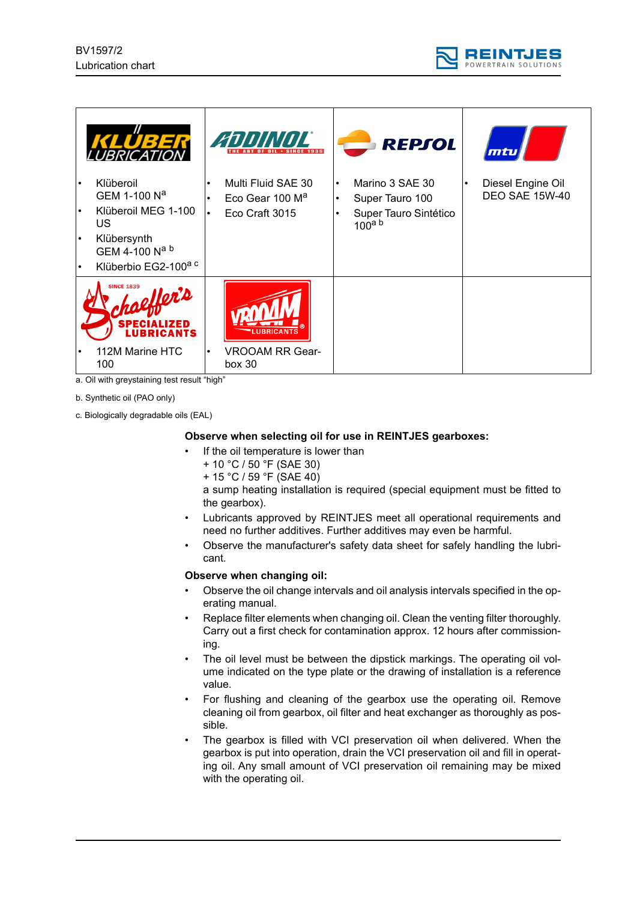



a. Oil with greystaining test result "high"

b. Synthetic oil (PAO only)

c. Biologically degradable oils (EAL)

## **Observe when selecting oil for use in REINTJES gearboxes:**

- If the oil temperature is lower than
	- + 10 °C / 50 °F (SAE 30)
	- + 15 °C / 59 °F (SAE 40)

a sump heating installation is required (special equipment must be fitted to the gearbox).

- Lubricants approved by REINTJES meet all operational requirements and need no further additives. Further additives may even be harmful.
- Observe the manufacturer's safety data sheet for safely handling the lubricant.

#### **Observe when changing oil:**

- Observe the oil change intervals and oil analysis intervals specified in the operating manual.
- Replace filter elements when changing oil. Clean the venting filter thoroughly. Carry out a first check for contamination approx. 12 hours after commissioning.
- The oil level must be between the dipstick markings. The operating oil volume indicated on the type plate or the drawing of installation is a reference value.
- For flushing and cleaning of the gearbox use the operating oil. Remove cleaning oil from gearbox, oil filter and heat exchanger as thoroughly as possible.
- The gearbox is filled with VCI preservation oil when delivered. When the gearbox is put into operation, drain the VCI preservation oil and fill in operating oil. Any small amount of VCI preservation oil remaining may be mixed with the operating oil.